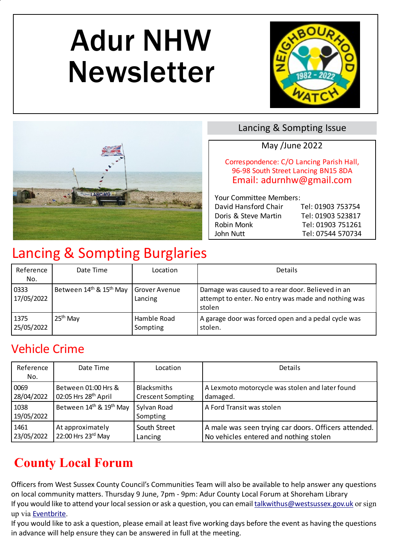# Adur NHW Newsletter





#### Lancing & Sompting Issue

#### May /June 2022

Correspondence: C/O Lancing Parish Hall, 96-98 South Street Lancing BN15 8DA Email: adurnhw@gmail.com

 Your Committee Members: David Hansford Chair Tel: 01903 753754 Doris & Steve Martin Tel: 01903 523817 Robin Monk Tel: 01903 751261 John Nutt Tel: 07544 570734

# Lancing & Sompting Burglaries

| Reference<br>No.   | Date Time                                       | Location                        | Details                                                                                                           |
|--------------------|-------------------------------------------------|---------------------------------|-------------------------------------------------------------------------------------------------------------------|
| 0333<br>17/05/2022 | Between 14 <sup>th</sup> & 15 <sup>th</sup> May | <b>Grover Avenue</b><br>Lancing | Damage was caused to a rear door. Believed in an<br>attempt to enter. No entry was made and nothing was<br>stolen |
| 1375<br>25/05/2022 | $25th$ May                                      | Hamble Road<br>Sompting         | A garage door was forced open and a pedal cycle was<br>stolen.                                                    |

## Vehicle Crime

| Reference<br>No.   | Date Time                        | Location                 | <b>Details</b>                                       |
|--------------------|----------------------------------|--------------------------|------------------------------------------------------|
| 0069               | Between 01:00 Hrs &              | <b>Blacksmiths</b>       | A Lexmoto motorcycle was stolen and later found      |
| 28/04/2022         | 02:05 Hrs 28 <sup>th</sup> April | <b>Crescent Sompting</b> | damaged.                                             |
| 1038<br>19/05/2022 | Between 14th & 19th May          | Sylvan Road<br>Sompting  | A Ford Transit was stolen                            |
| 1461               | At approximately                 | South Street             | A male was seen trying car doors. Officers attended. |
| 23/05/2022         | 22:00 Hrs 23rd May               | Lancing                  | No vehicles entered and nothing stolen               |

## **County Local Forum**

Officers from West Sussex County Council's Communities Team will also be available to help answer any questions on local community matters. Thursday 9 June, 7pm - 9pm: Adur County Local Forum at Shoreham Library If you would like to attend your local session or ask a question, you can email talkwithus@westsussex.gov.uk or sign up via Eventbrite.

If you would like to ask a question, please email at least five working days before the event as having the questions in advance will help ensure they can be answered in full at the meeting.